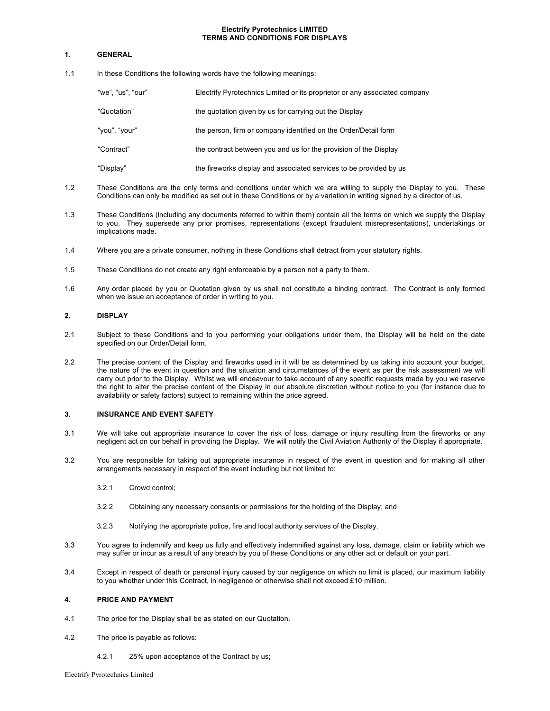#### **Electrify Pyrotechnics LIMITED TERMS AND CONDITIONS FOR DISPLAYS**

## **1. GENERAL**

1.1 In these Conditions the following words have the following meanings:

| "we", "us", "our" | Electrify Pyrotechnics Limited or its proprietor or any associated company |
|-------------------|----------------------------------------------------------------------------|
| "Quotation"       | the quotation given by us for carrying out the Display                     |
| "you", "your"     | the person, firm or company identified on the Order/Detail form            |
| "Contract"        | the contract between you and us for the provision of the Display           |
| "Display"         | the fireworks display and associated services to be provided by us         |

- 1.2 These Conditions are the only terms and conditions under which we are willing to supply the Display to you. These Conditions can only be modified as set out in these Conditions or by a variation in writing signed by a director of us.
- 1.3 These Conditions (including any documents referred to within them) contain all the terms on which we supply the Display to you. They supersede any prior promises, representations (except fraudulent misrepresentations), undertakings or implications made.
- 1.4 Where you are a private consumer, nothing in these Conditions shall detract from your statutory rights.
- 1.5 These Conditions do not create any right enforceable by a person not a party to them.
- 1.6 Any order placed by you or Quotation given by us shall not constitute a binding contract. The Contract is only formed when we issue an acceptance of order in writing to you.

## **2. DISPLAY**

- 2.1 Subject to these Conditions and to you performing your obligations under them, the Display will be held on the date specified on our Order/Detail form.
- 2.2 The precise content of the Display and fireworks used in it will be as determined by us taking into account your budget, the nature of the event in question and the situation and circumstances of the event as per the risk assessment we will carry out prior to the Display. Whilst we will endeavour to take account of any specific requests made by you we reserve the right to alter the precise content of the Display in our absolute discretion without notice to you (for instance due to availability or safety factors) subject to remaining within the price agreed.

## **3. INSURANCE AND EVENT SAFETY**

- 3.1 We will take out appropriate insurance to cover the risk of loss, damage or injury resulting from the fireworks or any negligent act on our behalf in providing the Display. We will notify the Civil Aviation Authority of the Display if appropriate.
- 3.2 You are responsible for taking out appropriate insurance in respect of the event in question and for making all other arrangements necessary in respect of the event including but not limited to:
	- 3.2.1 Crowd control;
	- 3.2.2 Obtaining any necessary consents or permissions for the holding of the Display; and
	- 3.2.3 Notifying the appropriate police, fire and local authority services of the Display.
- 3.3 You agree to indemnify and keep us fully and effectively indemnified against any loss, damage, claim or liability which we may suffer or incur as a result of any breach by you of these Conditions or any other act or default on your part.
- 3.4 Except in respect of death or personal injury caused by our negligence on which no limit is placed, our maximum liability to you whether under this Contract, in negligence or otherwise shall not exceed £10 million.

#### **4. PRICE AND PAYMENT**

- 4.1 The price for the Display shall be as stated on our Quotation.
- 4.2 The price is payable as follows:
	- 4.2.1 25% upon acceptance of the Contract by us;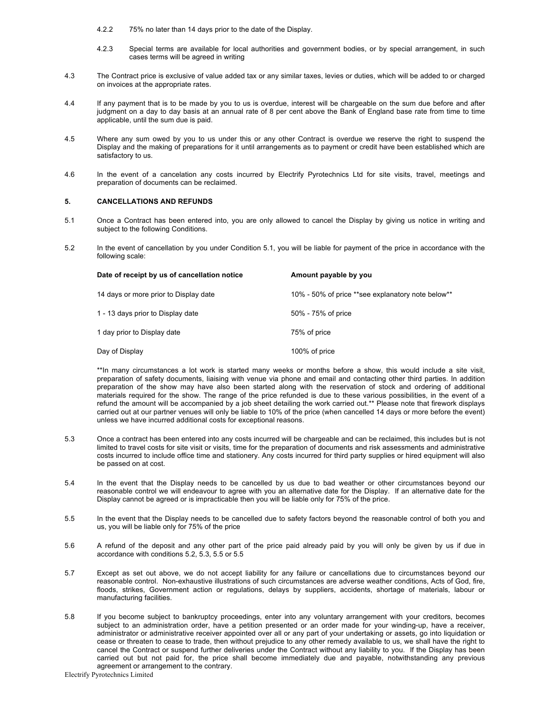- 4.2.2 75% no later than 14 days prior to the date of the Display.
- 4.2.3 Special terms are available for local authorities and government bodies, or by special arrangement, in such cases terms will be agreed in writing
- 4.3 The Contract price is exclusive of value added tax or any similar taxes, levies or duties, which will be added to or charged on invoices at the appropriate rates.
- 4.4 If any payment that is to be made by you to us is overdue, interest will be chargeable on the sum due before and after judgment on a day to day basis at an annual rate of 8 per cent above the Bank of England base rate from time to time applicable, until the sum due is paid.
- 4.5 Where any sum owed by you to us under this or any other Contract is overdue we reserve the right to suspend the Display and the making of preparations for it until arrangements as to payment or credit have been established which are satisfactory to us.
- 4.6 In the event of a cancelation any costs incurred by Electrify Pyrotechnics Ltd for site visits, travel, meetings and preparation of documents can be reclaimed.

#### **5. CANCELLATIONS AND REFUNDS**

- 5.1 Once a Contract has been entered into, you are only allowed to cancel the Display by giving us notice in writing and subject to the following Conditions.
- 5.2 In the event of cancellation by you under Condition 5.1, you will be liable for payment of the price in accordance with the following scale:

| Date of receipt by us of cancellation notice | Amount payable by you                             |
|----------------------------------------------|---------------------------------------------------|
| 14 days or more prior to Display date        | 10% - 50% of price **see explanatory note below** |
| 1 - 13 days prior to Display date            | 50% - 75% of price                                |
| 1 day prior to Display date                  | 75% of price                                      |
| Day of Display                               | 100% of price                                     |

\*\*In many circumstances a lot work is started many weeks or months before a show, this would include a site visit, preparation of safety documents, liaising with venue via phone and email and contacting other third parties. In addition preparation of the show may have also been started along with the reservation of stock and ordering of additional materials required for the show. The range of the price refunded is due to these various possibilities, in the event of a refund the amount will be accompanied by a job sheet detailing the work carried out.\*\* Please note that firework displays carried out at our partner venues will only be liable to 10% of the price (when cancelled 14 days or more before the event) unless we have incurred additional costs for exceptional reasons.

- 5.3 Once a contract has been entered into any costs incurred will be chargeable and can be reclaimed, this includes but is not limited to travel costs for site visit or visits, time for the preparation of documents and risk assessments and administrative costs incurred to include office time and stationery. Any costs incurred for third party supplies or hired equipment will also be passed on at cost.
- 5.4 In the event that the Display needs to be cancelled by us due to bad weather or other circumstances beyond our reasonable control we will endeavour to agree with you an alternative date for the Display. If an alternative date for the Display cannot be agreed or is impracticable then you will be liable only for 75% of the price.
- 5.5 In the event that the Display needs to be cancelled due to safety factors beyond the reasonable control of both you and us, you will be liable only for 75% of the price
- 5.6 A refund of the deposit and any other part of the price paid already paid by you will only be given by us if due in accordance with conditions 5.2, 5.3, 5.5 or 5.5
- 5.7 Except as set out above, we do not accept liability for any failure or cancellations due to circumstances beyond our reasonable control. Non-exhaustive illustrations of such circumstances are adverse weather conditions, Acts of God, fire, floods, strikes, Government action or regulations, delays by suppliers, accidents, shortage of materials, labour or manufacturing facilities.
- 5.8 If you become subject to bankruptcy proceedings, enter into any voluntary arrangement with your creditors, becomes subject to an administration order, have a petition presented or an order made for your winding-up, have a receiver, administrator or administrative receiver appointed over all or any part of your undertaking or assets, go into liquidation or cease or threaten to cease to trade, then without prejudice to any other remedy available to us, we shall have the right to cancel the Contract or suspend further deliveries under the Contract without any liability to you. If the Display has been carried out but not paid for, the price shall become immediately due and payable, notwithstanding any previous agreement or arrangement to the contrary.